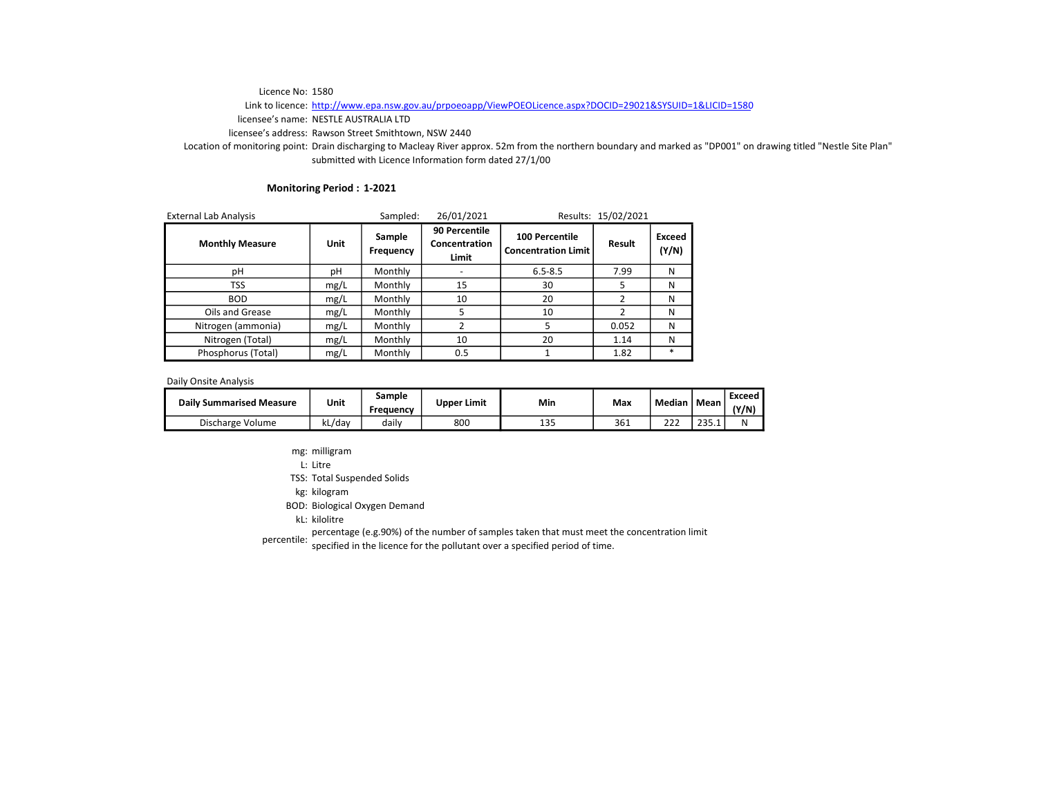# Link to licence: http://www.epa.nsw.gov.au/prpoeoapp/ViewPOEOLicence.aspx?DOCID=29021&SYSUID=1&LICID=1580

licensee's name: NESTLE AUSTRALIA LTD

licensee's address: Rawson Street Smithtown, NSW 2440

Location of monitoring point: Drain discharging to Macleay River approx. 52m from the northern boundary and marked as "DP001" on drawing titled "Nestle Site Plan" submitted with Licence Information form dated 27/1/00

#### Monitoring Period : 1-2021

| <b>External Lab Analysis</b> |      | Sampled:            | 26/01/2021<br>Results: 15/02/2021       |                                                     |               |                 |
|------------------------------|------|---------------------|-----------------------------------------|-----------------------------------------------------|---------------|-----------------|
| <b>Monthly Measure</b>       | Unit | Sample<br>Frequency | 90 Percentile<br>Concentration<br>Limit | <b>100 Percentile</b><br><b>Concentration Limit</b> | Result        | Exceed<br>(Y/N) |
| рH                           | pH   | Monthly             |                                         | $6.5 - 8.5$                                         | 7.99          | N               |
| <b>TSS</b>                   | mg/L | Monthly             | 15                                      | 30                                                  | 5             | N               |
| <b>BOD</b>                   | mg/L | Monthly             | 10                                      | 20                                                  | $\mathfrak z$ | N               |
| Oils and Grease              | mg/L | Monthly             | 5                                       | 10                                                  | 2             | N               |
| Nitrogen (ammonia)           | mg/L | Monthly             | 2                                       | 5                                                   | 0.052         | N               |
| Nitrogen (Total)             | mg/L | Monthly             | 10                                      | 20                                                  | 1.14          | N               |
| Phosphorus (Total)           | mg/L | Monthly             | 0.5                                     |                                                     | 1.82          | $\ast$          |

Daily Onsite Analysis

| <b>Daily Summarised Measure</b> | Unit   | Sample<br>Frequency | <b>Upper Limit</b> | Min          | Max | Median       | Mean         | Exceed<br>(Y/N) |
|---------------------------------|--------|---------------------|--------------------|--------------|-----|--------------|--------------|-----------------|
| Discharge Volume                | kL/dav | dailv               | 800                | 1 O E<br>⊥ບປ | 361 | $\sim$<br>ᅩㄥ | 235<br>200.L | N               |

mg: milligram

L: Litre

TSS: Total Suspended Solids

kg: kilogram

BOD: Biological Oxygen Demand

kL: kilolitre

percentile: percentage (e.g.90%) of the number of samples taken that must meet the concentration limit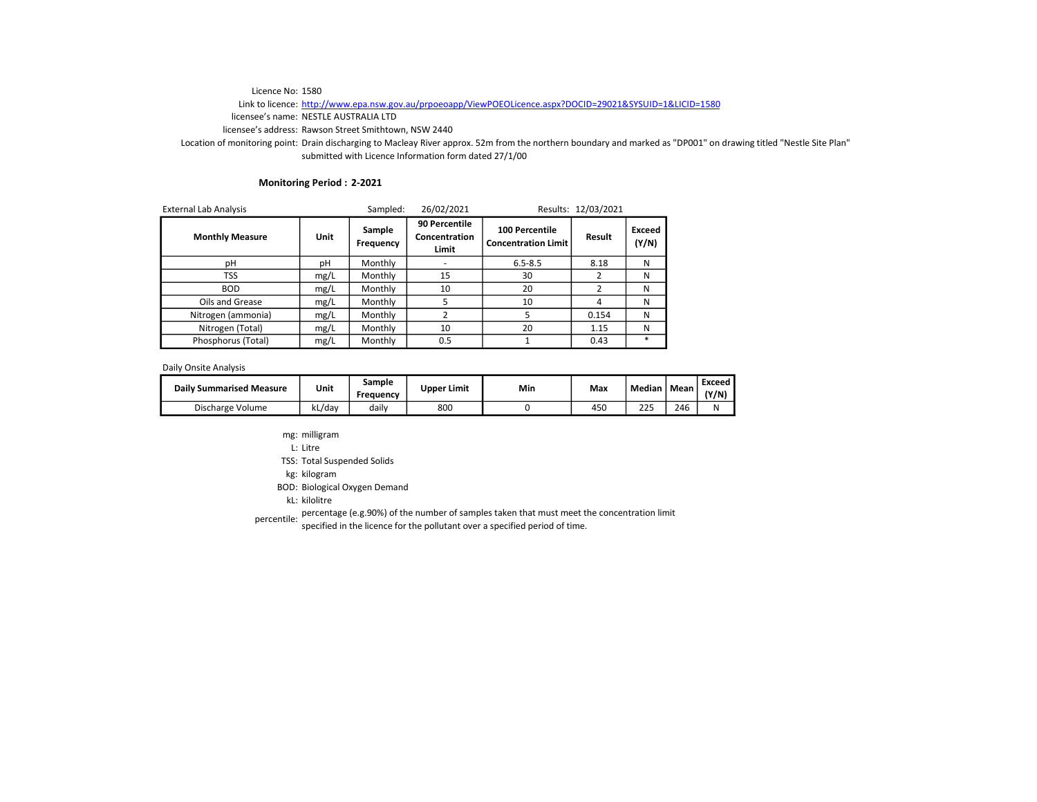# Link to licence: http://www.epa.nsw.gov.au/prpoeoapp/ViewPOEOLicence.aspx?DOCID=29021&SYSUID=1&LICID=1580

licensee's name: NESTLE AUSTRALIA LTD

licensee's address: Rawson Street Smithtown, NSW 2440

Location of monitoring point: Drain discharging to Macleay River approx. 52m from the northern boundary and marked as "DP001" on drawing titled "Nestle Site Plan" submitted with Licence Information form dated 27/1/00

## Monitoring Period : 2-2021

| <b>External Lab Analysis</b> |      | Sampled:            | 26/02/2021                              |                                              | Results: 12/03/2021 |                 |
|------------------------------|------|---------------------|-----------------------------------------|----------------------------------------------|---------------------|-----------------|
| <b>Monthly Measure</b>       | Unit | Sample<br>Frequency | 90 Percentile<br>Concentration<br>Limit | 100 Percentile<br><b>Concentration Limit</b> | Result              | Exceed<br>(Y/N) |
| рH                           | рH   | Monthly             |                                         | $6.5 - 8.5$                                  | 8.18                | N               |
| TSS                          | mg/L | Monthly             | 15                                      | 30                                           |                     | N               |
| <b>BOD</b>                   | mg/L | Monthly             | 10                                      | 20                                           |                     | N               |
| Oils and Grease              | mg/L | Monthly             | 5                                       | 10                                           |                     | N               |
| Nitrogen (ammonia)           | mg/L | Monthly             | 2                                       | 5                                            | 0.154               | N               |
| Nitrogen (Total)             | mg/L | Monthly             | 10                                      | 20                                           | 1.15                | N               |
| Phosphorus (Total)           | mg/L | Monthly             | 0.5                                     |                                              | 0.43                | $\ast$          |

Daily Onsite Analysis

| <b>Daily Summarised Measure</b> | Unit   | Sample<br>Freauency | <b>Upper Limit</b> | Min | Max | Median    | Mean | Exceed<br>(Y/N) |
|---------------------------------|--------|---------------------|--------------------|-----|-----|-----------|------|-----------------|
| Discharge Volume                | kL/dav | dailv               | 800                |     | 450 | つつに<br>دے | 246  | N               |

- mg: milligram
- L: Litre

TSS: Total Suspended Solids

kg: kilogram

BOD: Biological Oxygen Demand

kL: kilolitre

percentile: percentage (e.g.90%) of the number of samples taken that must meet the concentration limit<br>percentile: servified in the ligence for the pollutent sugges angelfied pariod of time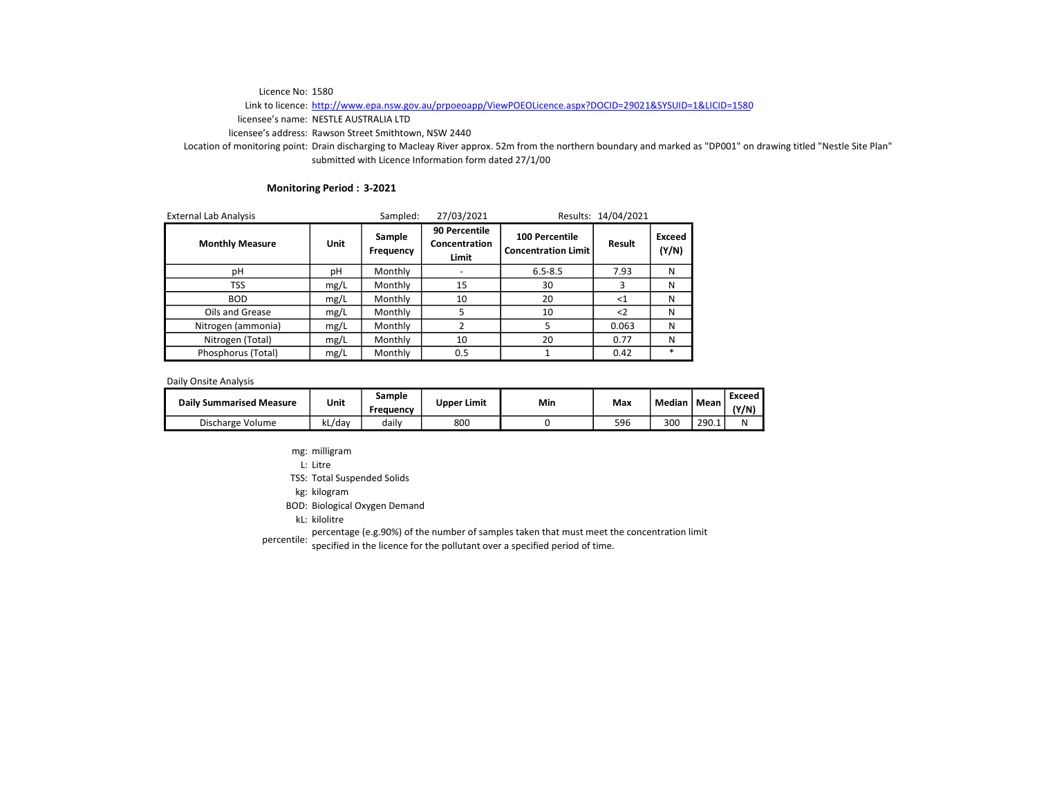# Link to licence: http://www.epa.nsw.gov.au/prpoeoapp/ViewPOEOLicence.aspx?DOCID=29021&SYSUID=1&LICID=1580

licensee's name: NESTLE AUSTRALIA LTD

licensee's address: Rawson Street Smithtown, NSW 2440

Location of monitoring point: Drain discharging to Macleay River approx. 52m from the northern boundary and marked as "DP001" on drawing titled "Nestle Site Plan" submitted with Licence Information form dated 27/1/00

#### Monitoring Period : 3-2021

| <b>External Lab Analysis</b> |      | Sampled:            | 27/03/2021<br>Results: 14/04/2021       |                                                     |             |                 |
|------------------------------|------|---------------------|-----------------------------------------|-----------------------------------------------------|-------------|-----------------|
| <b>Monthly Measure</b>       | Unit | Sample<br>Frequency | 90 Percentile<br>Concentration<br>Limit | <b>100 Percentile</b><br><b>Concentration Limit</b> | Result      | Exceed<br>(Y/N) |
| рH                           | рH   | Monthly             |                                         | $6.5 - 8.5$                                         | 7.93        | N               |
| <b>TSS</b>                   | mg/L | Monthly             | 15                                      | 30                                                  | 3           | N               |
| <b>BOD</b>                   | mg/L | Monthly             | 10                                      | 20                                                  | $<$ 1       | N               |
| Oils and Grease              | mg/L | Monthly             | 5                                       | 10                                                  | $\langle$ 2 | N               |
| Nitrogen (ammonia)           | mg/L | Monthly             | 2                                       | 5                                                   | 0.063       | N               |
| Nitrogen (Total)             | mg/L | Monthly             | 10                                      | 20                                                  | 0.77        | N               |
| Phosphorus (Total)           | mg/L | Monthly             | 0.5                                     |                                                     | 0.42        | $\ast$          |

Daily Onsite Analysis

| <b>Daily Summarised Measure</b> | Unit   | Sample<br>Frequency | <b>Upper Limit</b> | Min | Max | Median | Mean  | Exceed<br>(Y/N) |
|---------------------------------|--------|---------------------|--------------------|-----|-----|--------|-------|-----------------|
| Discharge Volume                | kL/dav | dailv               | 800                |     | 596 | 300    | 290.1 | N               |

mg: milligram

L: Litre

TSS: Total Suspended Solids

kg: kilogram

BOD: Biological Oxygen Demand

kL: kilolitre

percentile: percentage (e.g.90%) of the number of samples taken that must meet the concentration limit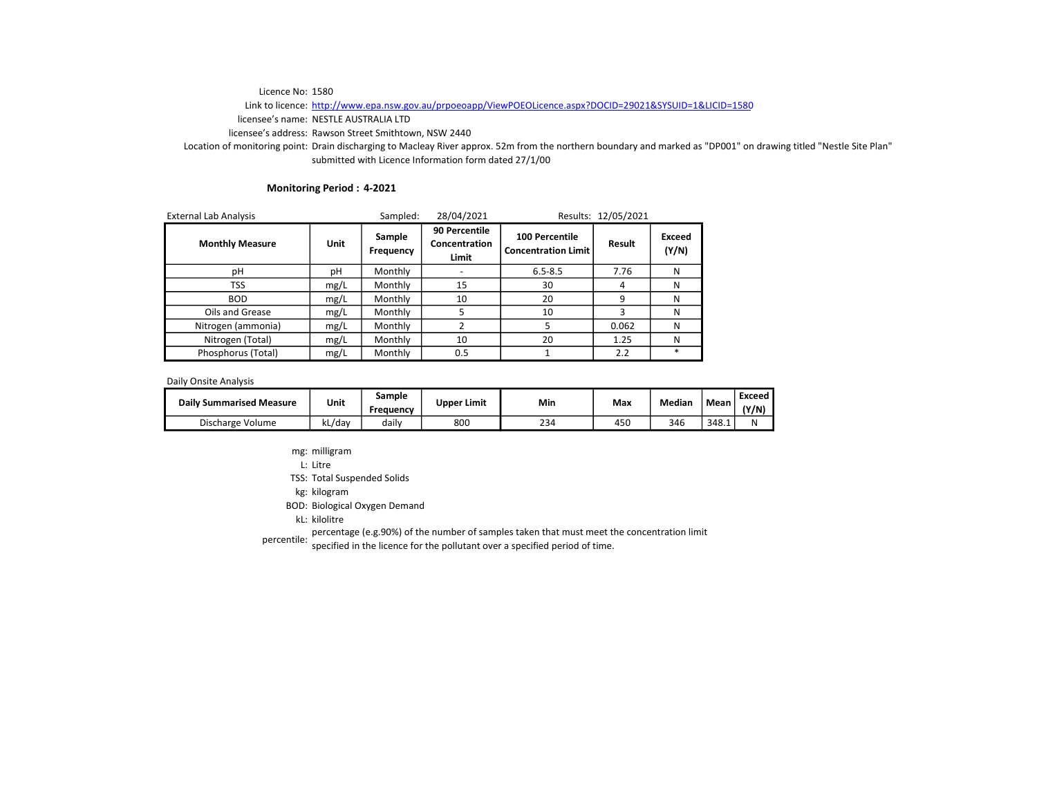# Link to licence: http://www.epa.nsw.gov.au/prpoeoapp/ViewPOEOLicence.aspx?DOCID=29021&SYSUID=1&LICID=1580

licensee's name: NESTLE AUSTRALIA LTD

licensee's address: Rawson Street Smithtown, NSW 2440

Location of monitoring point: Drain discharging to Macleay River approx. 52m from the northern boundary and marked as "DP001" on drawing titled "Nestle Site Plan" submitted with Licence Information form dated 27/1/00

#### Monitoring Period : 4-2021

| <b>External Lab Analysis</b> |             | Sampled:            | 28/04/2021                              |                                              | Results: 12/05/2021 |                 |
|------------------------------|-------------|---------------------|-----------------------------------------|----------------------------------------------|---------------------|-----------------|
| <b>Monthly Measure</b>       | <b>Unit</b> | Sample<br>Frequency | 90 Percentile<br>Concentration<br>Limit | 100 Percentile<br><b>Concentration Limit</b> | Result              | Exceed<br>(Y/N) |
| рH                           | рH          | Monthly             |                                         | $6.5 - 8.5$                                  | 7.76                | N               |
| TSS                          | mg/L        | Monthly             | 15                                      | 30                                           | 4                   | N               |
| <b>BOD</b>                   | mg/L        | Monthly             | 10                                      | 20                                           | q                   | N               |
| Oils and Grease              | mg/L        | Monthly             |                                         | 10                                           |                     | N               |
| Nitrogen (ammonia)           | mg/L        | Monthly             |                                         |                                              | 0.062               | N               |
| Nitrogen (Total)             | mg/L        | Monthly             | 10                                      | 20                                           | 1.25                | N               |
| Phosphorus (Total)           | mg/L        | Monthly             | 0.5                                     |                                              | 2.2                 | $\ast$          |

Daily Onsite Analysis

| <b>Daily Summarised Measure</b> | Unit   | Sample<br>Freauencv | <b>Upper Limit</b> | Min | Max | Median | Mean  | Exceed<br>(Y/N) |
|---------------------------------|--------|---------------------|--------------------|-----|-----|--------|-------|-----------------|
| Discharge Volume                | kL/dav | daily               | 800                | 234 | 450 | 346    | 348.1 | N               |

mg: milligram

L: Litre

TSS: Total Suspended Solids

kg: kilogram

BOD: Biological Oxygen Demand

kL: kilolitre

percentile: percentage (e.g.90%) of the number of samples taken that must meet the concentration limit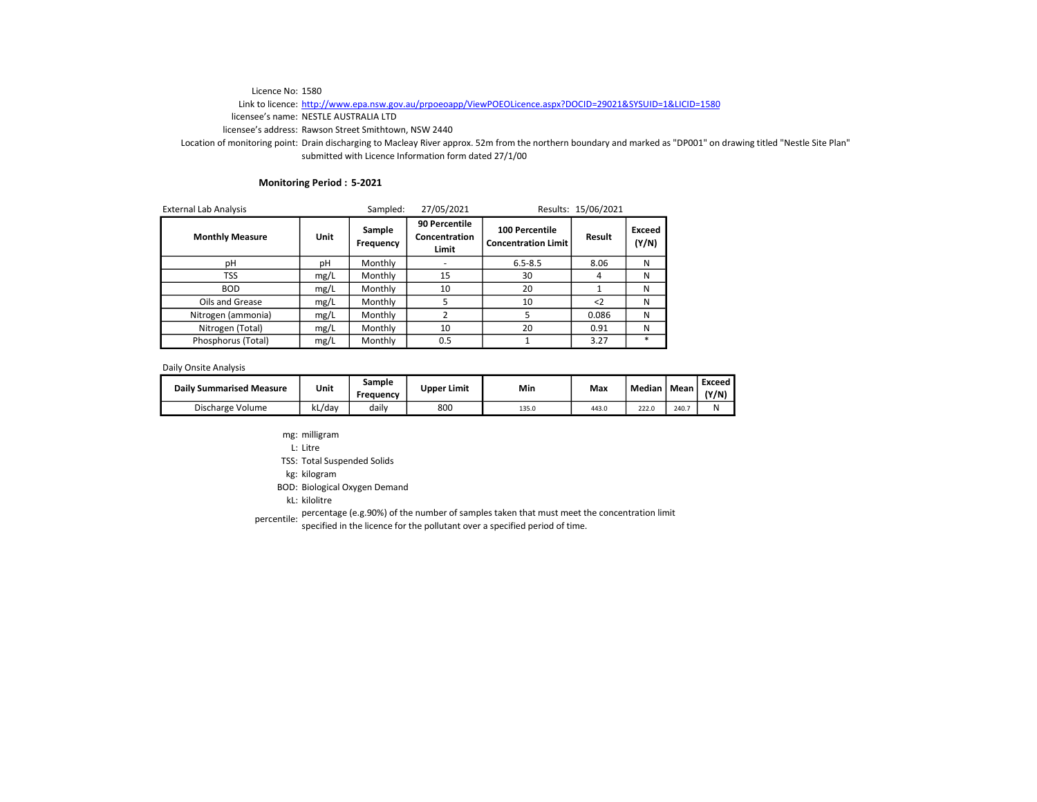# Link to licence: http://www.epa.nsw.gov.au/prpoeoapp/ViewPOEOLicence.aspx?DOCID=29021&SYSUID=1&LICID=1580

licensee's name: NESTLE AUSTRALIA LTD

licensee's address: Rawson Street Smithtown, NSW 2440

Location of monitoring point: Drain discharging to Macleay River approx. 52m from the northern boundary and marked as "DP001" on drawing titled "Nestle Site Plan" submitted with Licence Information form dated 27/1/00

## Monitoring Period : 5-2021

| <b>External Lab Analysis</b> |      | Sampled: | 27/05/2021                              |                                              | Results: 15/06/2021 |                 |
|------------------------------|------|----------|-----------------------------------------|----------------------------------------------|---------------------|-----------------|
| <b>Monthly Measure</b>       | Unit |          | 90 Percentile<br>Concentration<br>Limit | 100 Percentile<br><b>Concentration Limit</b> | Result              | Exceed<br>(Y/N) |
| рH                           | рH   | Monthly  |                                         | $6.5 - 8.5$                                  | 8.06                | N               |
| TSS                          | mg/L | Monthly  | 15                                      | 30                                           | 4                   | N               |
| <b>BOD</b>                   | mg/L | Monthly  | 10                                      | 20                                           |                     | N               |
| Oils and Grease              | mg/L | Monthly  | 5                                       | 10                                           | $\leq$              | N               |
| Nitrogen (ammonia)           | mg/L | Monthly  | $\overline{2}$                          | 5                                            | 0.086               | N               |
| Nitrogen (Total)             | mg/L | Monthly  | 10                                      | 20                                           | 0.91                | N               |
| Phosphorus (Total)           | mg/L | Monthly  | 0.5                                     |                                              | 3.27                | $\ast$          |

Daily Onsite Analysis

| <b>Daily Summarised Measure</b> | Unit    | Sample<br>Freauency | <b>Upper Limit</b> | Min   | Max   | Median | Mean  | Exceed<br>(Y/N) |
|---------------------------------|---------|---------------------|--------------------|-------|-------|--------|-------|-----------------|
| Discharge Volume                | ،دL/dav | dailv               | 800                | 135.0 | 443.0 | 222.0  | 240.7 | N               |

- mg: milligram
- L: Litre

TSS: Total Suspended Solids

kg: kilogram

BOD: Biological Oxygen Demand

kL: kilolitre

percentile: percentage (e.g.90%) of the number of samples taken that must meet the concentration limit<br>percentile: servified in the ligence for the pollutent sugges angelfied pariod of time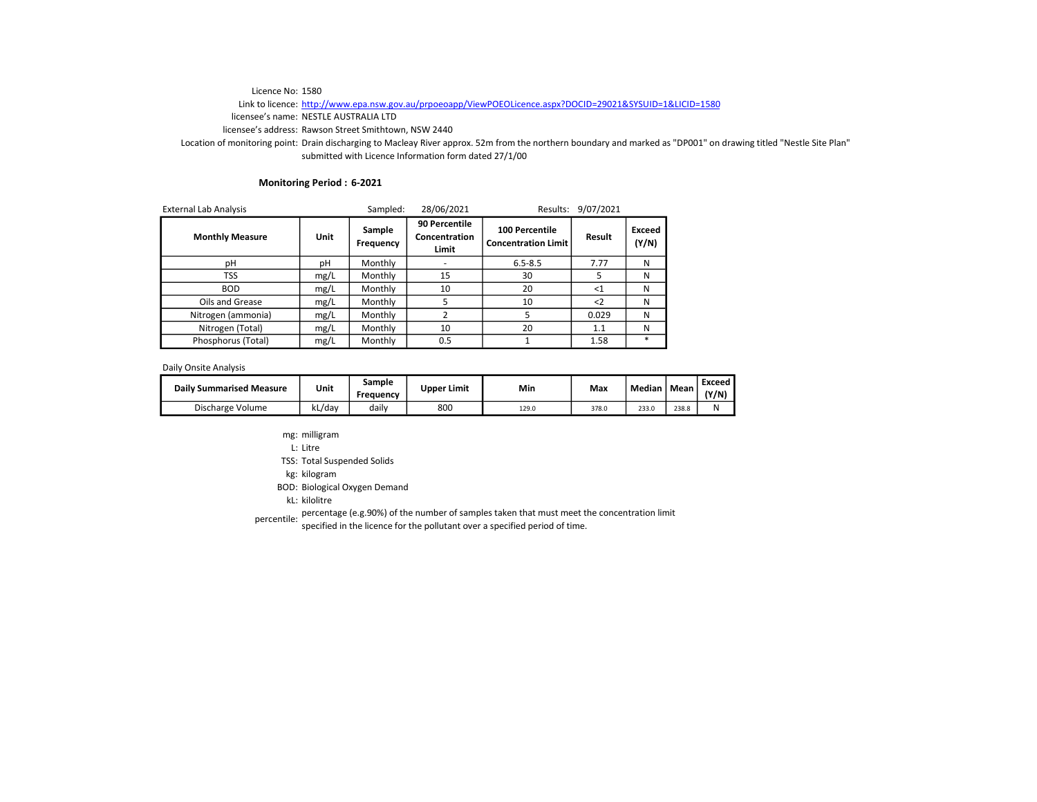# Link to licence: http://www.epa.nsw.gov.au/prpoeoapp/ViewPOEOLicence.aspx?DOCID=29021&SYSUID=1&LICID=1580

licensee's name: NESTLE AUSTRALIA LTD

licensee's address: Rawson Street Smithtown, NSW 2440

Location of monitoring point: Drain discharging to Macleay River approx. 52m from the northern boundary and marked as "DP001" on drawing titled "Nestle Site Plan" submitted with Licence Information form dated 27/1/00

## Monitoring Period : 6-2021

| <b>External Lab Analysis</b> |      | Sampled: | 28/06/2021                              | Results:                                     | 9/07/2021   |                 |
|------------------------------|------|----------|-----------------------------------------|----------------------------------------------|-------------|-----------------|
| <b>Monthly Measure</b>       | Unit |          | 90 Percentile<br>Concentration<br>Limit | 100 Percentile<br><b>Concentration Limit</b> | Result      | Exceed<br>(Y/N) |
| рH                           | рH   | Monthly  |                                         | $6.5 - 8.5$                                  | 7.77        | N               |
| TSS                          | mg/L | Monthly  | 15                                      | 30                                           |             | N               |
| <b>BOD</b>                   | mg/L | Monthly  | 10                                      | 20                                           | $<$ 1       | N               |
| Oils and Grease              | mg/L | Monthly  | 5                                       | 10                                           | $\langle$ 2 | N               |
| Nitrogen (ammonia)           | mg/L | Monthly  | $\overline{2}$                          | 5                                            | 0.029       | N               |
| Nitrogen (Total)             | mg/L | Monthly  | 10                                      | 20                                           | 1.1         | N               |
| Phosphorus (Total)           | mg/L | Monthly  | 0.5                                     |                                              | 1.58        | $\ast$          |

Daily Onsite Analysis

| <b>Daily Summarised Measure</b> | Unit   | Sample<br>Freauency | <b>Upper Limit</b> | Min   | Max   | Median | Mean  | Exceed<br>(Y/N) |
|---------------------------------|--------|---------------------|--------------------|-------|-------|--------|-------|-----------------|
| Discharge Volume                | kL/dav | dailv               | 800                | 129.0 | 378.0 | 233.0  | 238.8 | N               |

- mg: milligram
- L: Litre

TSS: Total Suspended Solids

kg: kilogram

BOD: Biological Oxygen Demand

kL: kilolitre

percentile: percentage (e.g.90%) of the number of samples taken that must meet the concentration limit<br>percentile: servified in the ligence for the pollutent sugges angelfied pariod of time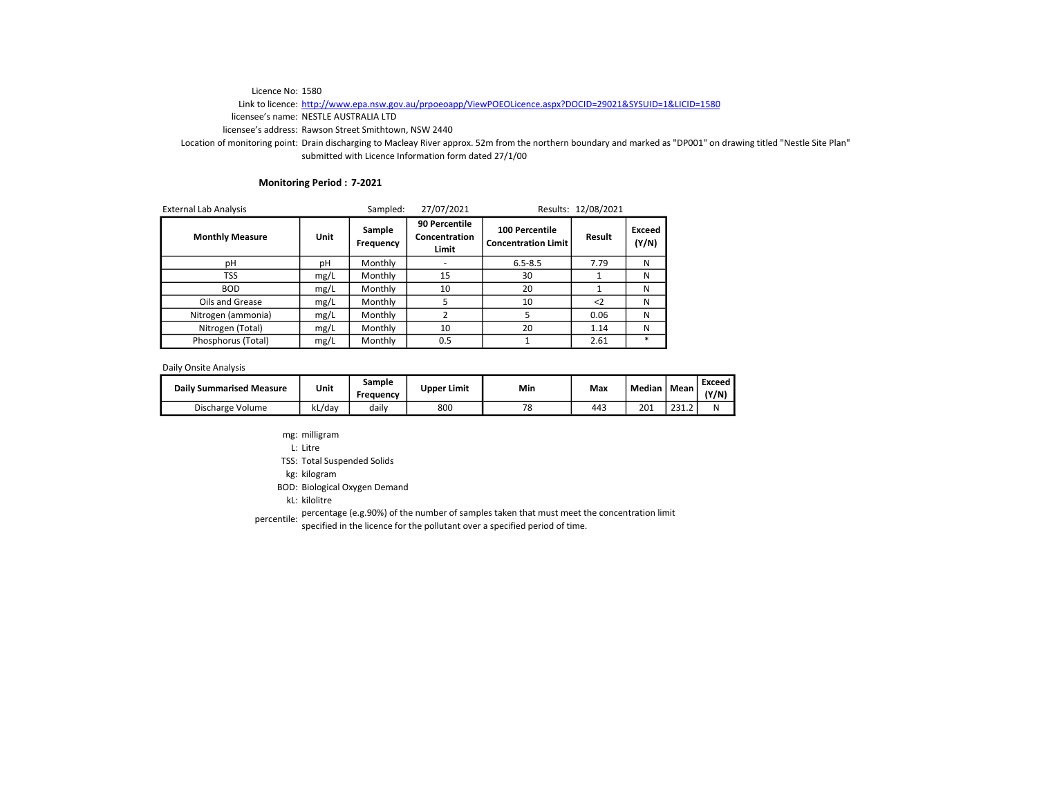# Link to licence: http://www.epa.nsw.gov.au/prpoeoapp/ViewPOEOLicence.aspx?DOCID=29021&SYSUID=1&LICID=1580

licensee's name: NESTLE AUSTRALIA LTD

licensee's address: Rawson Street Smithtown, NSW 2440

Location of monitoring point: Drain discharging to Macleay River approx. 52m from the northern boundary and marked as "DP001" on drawing titled "Nestle Site Plan" submitted with Licence Information form dated 27/1/00

## Monitoring Period : 7-2021

| <b>External Lab Analysis</b> |      | Sampled:            | 27/07/2021                              |                                              | Results: 12/08/2021 |                 |
|------------------------------|------|---------------------|-----------------------------------------|----------------------------------------------|---------------------|-----------------|
| <b>Monthly Measure</b>       | Unit | Sample<br>Frequency | 90 Percentile<br>Concentration<br>Limit | 100 Percentile<br><b>Concentration Limit</b> | Result              | Exceed<br>(Y/N) |
| рH                           | рH   | Monthly             |                                         | $6.5 - 8.5$                                  | 7.79                | N               |
| TSS                          | mg/L | Monthly             | 15                                      | 30                                           |                     | N               |
| <b>BOD</b>                   | mg/L | Monthly             | 10                                      | 20                                           |                     | N               |
| Oils and Grease              | mg/L | Monthly             | 5                                       | 10                                           | $\langle$ 2         | N               |
| Nitrogen (ammonia)           | mg/L | Monthly             |                                         | 5                                            | 0.06                | N               |
| Nitrogen (Total)             | mg/L | Monthly             | 10                                      | 20                                           | 1.14                | N               |
| Phosphorus (Total)           | mg/L | Monthly             | 0.5                                     |                                              | 2.61                | *               |

Daily Onsite Analysis

| <b>Daily Summarised Measure</b> | Unit   | Sample<br>Freauency | <b>Upper Limit</b> | Min | Max | Median | Mean          | Exceed<br>(Y/N) |
|---------------------------------|--------|---------------------|--------------------|-----|-----|--------|---------------|-----------------|
| Discharge Volume                | ∧L/dav | dailv               | 800                | 70  | 443 | 201    | 2212<br>291.L | N               |

- mg: milligram
- L: Litre

TSS: Total Suspended Solids

kg: kilogram

BOD: Biological Oxygen Demand

kL: kilolitre

percentile: percentage (e.g.90%) of the number of samples taken that must meet the concentration limit<br>percentile: servified in the ligence for the pollutent sugges angelfied pariod of time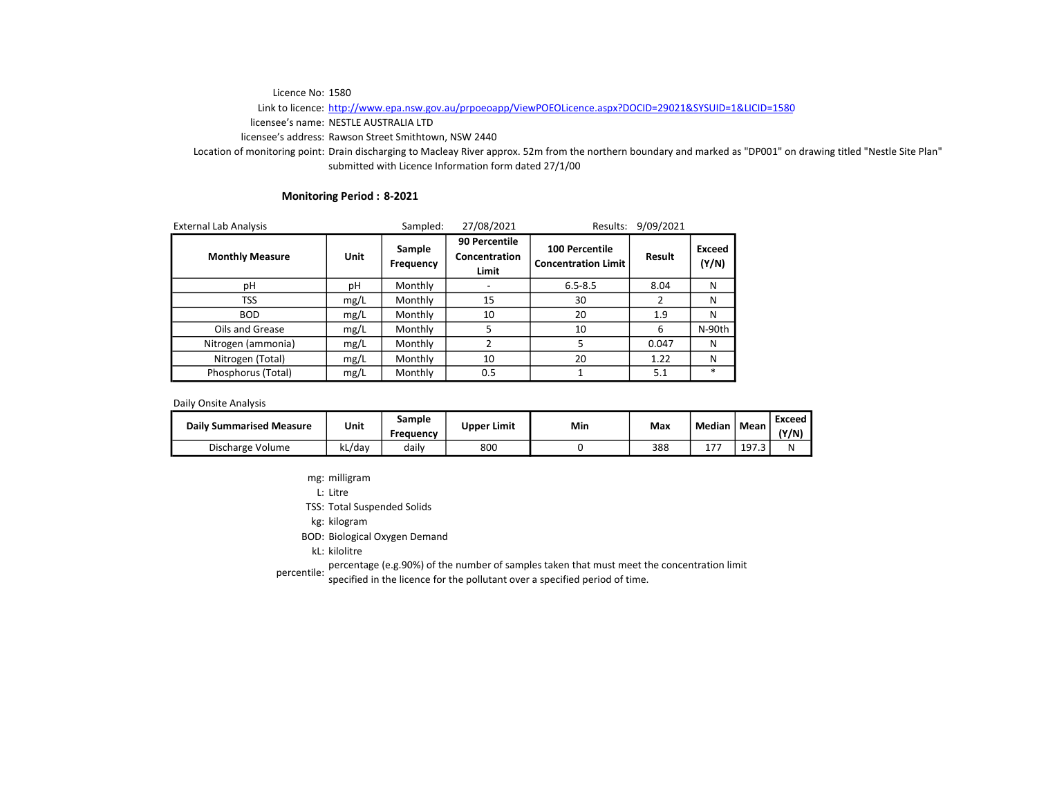Link to licence: http://www.epa.nsw.gov.au/prpoeoapp/ViewPOEOLicence.aspx?DOCID=29021&SYSUID=1&LICID=1580

licensee's name: NESTLE AUSTRALIA LTD

licensee's address: Rawson Street Smithtown, NSW 2440

Location of monitoring point: Drain discharging to Macleay River approx. 52m from the northern boundary and marked as "DP001" on drawing titled "Nestle Site Plan" submitted with Licence Information form dated 27/1/00

## Monitoring Period : 8-2021

| <b>External Lab Analysis</b> |      | Sampled:            | 27/08/2021                              | Results:                                            | 9/09/2021 |                 |
|------------------------------|------|---------------------|-----------------------------------------|-----------------------------------------------------|-----------|-----------------|
| <b>Monthly Measure</b>       | Unit | Sample<br>Frequency | 90 Percentile<br>Concentration<br>Limit | <b>100 Percentile</b><br><b>Concentration Limit</b> | Result    | Exceed<br>(Y/N) |
| рH                           | рH   | Monthly             |                                         | $6.5 - 8.5$                                         | 8.04      | N               |
| TSS                          | mg/L | Monthly             | 15                                      | 30                                                  |           | N               |
| <b>BOD</b>                   | mg/L | Monthly             | 10                                      | 20                                                  | 1.9       | N               |
| Oils and Grease              | mg/L | Monthly             | 5                                       | 10                                                  | 6         | N-90th          |
| Nitrogen (ammonia)           | mg/L | Monthly             | 2                                       | 5                                                   | 0.047     | N               |
| Nitrogen (Total)             | mg/L | Monthly             | 10                                      | 20                                                  | 1.22      | N               |
| Phosphorus (Total)           | mg/L | Monthly             | 0.5                                     |                                                     | 5.1       | $\ast$          |

Daily Onsite Analysis

| <b>Daily Summarised Measure</b> | Unit   | Sample<br>Frequency | <b>Upper Limit</b> | Min | Max | <b>Median</b> | Mean  | Exceed<br>(Y/N) |
|---------------------------------|--------|---------------------|--------------------|-----|-----|---------------|-------|-----------------|
| Discharge Volume                | kL/dav | dailv               | 800                |     | 388 | ר ד           | 197.3 | N               |

mg: milligram

L: Litre

TSS: Total Suspended Solids

kg: kilogram

BOD: Biological Oxygen Demand

kL: kilolitre

percentage (e.g.90%) of the number of samples taken that must meet the concentration limit<br>percentile: we also in the lisenes feather all that sures are either a suide of time.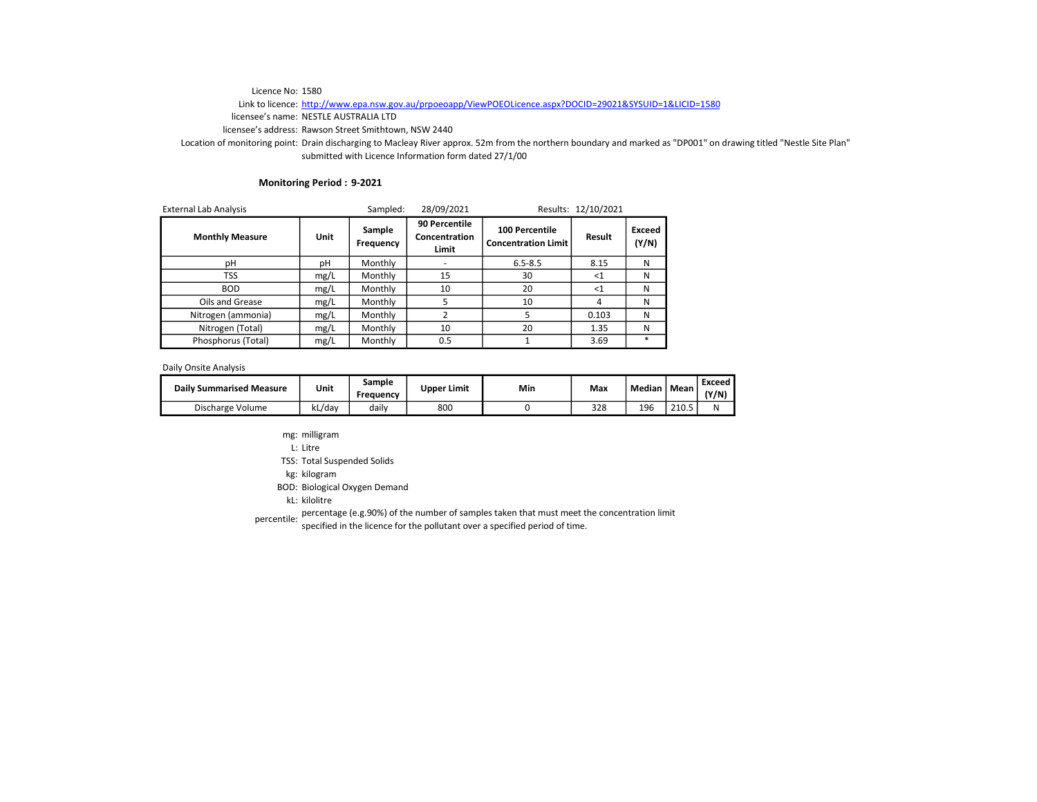# Link to licence: http://www.epa.nsw.gov.au/prpoeoapp/ViewPOEOLicence.aspx?DOCID=29021&SYSUID=1&LICID=1580

licensee's name: NESTLE AUSTRALIA LTD

licensee's address: Rawson Street Smithtown, NSW 2440

Location of monitoring point: Drain discharging to Macleay River approx. 52m from the northern boundary and marked as "DP001" on drawing titled "Nestle Site Plan" submitted with Licence Information form dated 27/1/00

## Monitoring Period : 9-2021

| <b>External Lab Analysis</b> |      | Sampled:            | 28/09/2021                              |                                              | Results: 12/10/2021 |                 |
|------------------------------|------|---------------------|-----------------------------------------|----------------------------------------------|---------------------|-----------------|
| <b>Monthly Measure</b>       | Unit | Sample<br>Frequency | 90 Percentile<br>Concentration<br>Limit | 100 Percentile<br><b>Concentration Limit</b> | Result              | Exceed<br>(Y/N) |
| рH                           | рH   | Monthly             |                                         | $6.5 - 8.5$                                  | 8.15                | N               |
| TSS                          | mg/L | Monthly             | 15                                      | 30                                           | $\leq 1$            | N               |
| <b>BOD</b>                   | mg/L | Monthly             | 10                                      | 20                                           | $<$ 1               | N               |
| Oils and Grease              | mg/L | Monthly             | 5                                       | 10                                           |                     | N               |
| Nitrogen (ammonia)           | mg/L | Monthly             | $\overline{2}$                          | 5                                            | 0.103               | N               |
| Nitrogen (Total)             | mg/L | Monthly             | 10                                      | 20                                           | 1.35                | N               |
| Phosphorus (Total)           | mg/L | Monthly             | 0.5                                     |                                              | 3.69                | $\ast$          |

Daily Onsite Analysis

| <b>Daily Summarised Measure</b> | Unit    | Sample<br>Freauency | <b>Upper Limit</b> | Min | Max | Median | Mean  | Exceed<br>(Y/N) |
|---------------------------------|---------|---------------------|--------------------|-----|-----|--------|-------|-----------------|
| Discharge Volume                | .kL/dav | dailv               | 800                |     | 328 | 196    | 210.5 | N               |

- mg: milligram
- L: Litre

TSS: Total Suspended Solids

kg: kilogram

BOD: Biological Oxygen Demand

kL: kilolitre

percentile: percentage (e.g.90%) of the number of samples taken that must meet the concentration limit<br>percentile: servified in the ligence for the pollutent sugges angelfied pariod of time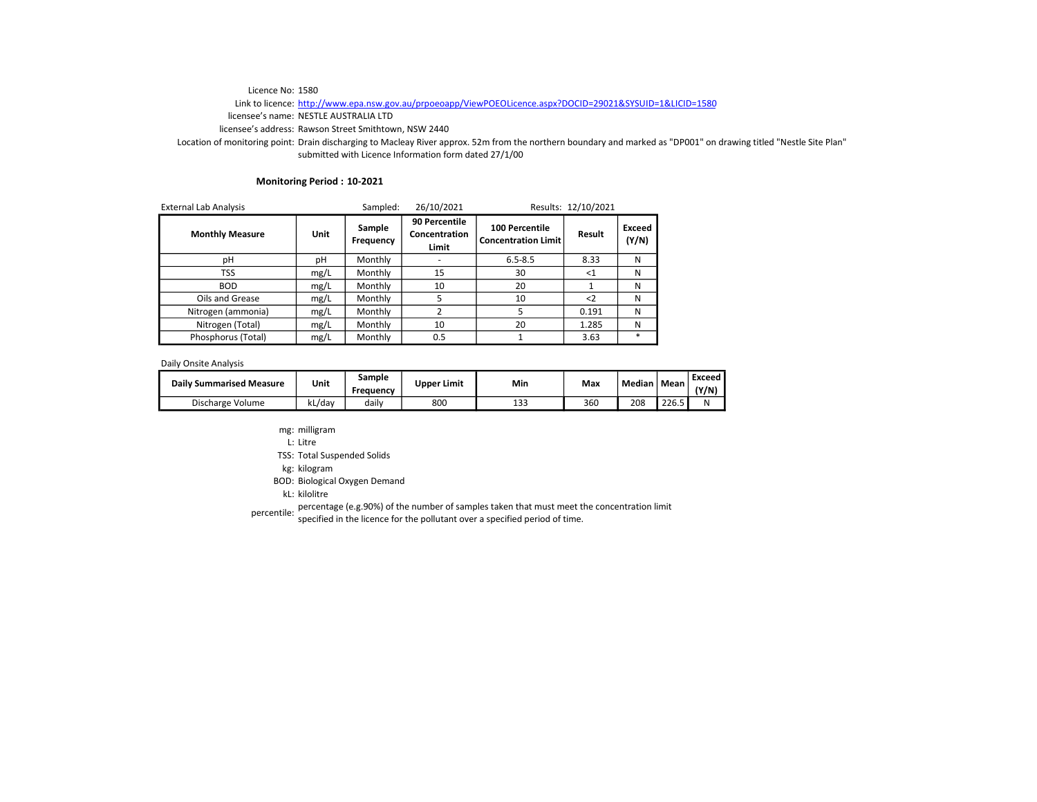# Link to licence: http://www.epa.nsw.gov.au/prpoeoapp/ViewPOEOLicence.aspx?DOCID=29021&SYSUID=1&LICID=1580

licensee's name: NESTLE AUSTRALIA LTD

licensee's address: Rawson Street Smithtown, NSW 2440

Location of monitoring point: Drain discharging to Macleay River approx. 52m from the northern boundary and marked as "DP001" on drawing titled "Nestle Site Plan" submitted with Licence Information form dated 27/1/00

#### Monitoring Period : 10-2021

| <b>External Lab Analysis</b> |      | Sampled:            | 26/10/2021<br>Results: 12/10/2021       |                                              |             |                 |
|------------------------------|------|---------------------|-----------------------------------------|----------------------------------------------|-------------|-----------------|
| <b>Monthly Measure</b>       | Unit | Sample<br>Frequency | 90 Percentile<br>Concentration<br>Limit | 100 Percentile<br><b>Concentration Limit</b> | Result      | Exceed<br>(Y/N) |
| рH                           | рH   | Monthly             |                                         | $6.5 - 8.5$                                  | 8.33        | N               |
| TSS                          | mg/L | Monthly             | 15                                      | 30                                           | $<$ 1       | N               |
| <b>BOD</b>                   | mg/L | Monthly             | 10                                      | 20                                           |             | N               |
| Oils and Grease              | mg/L | Monthly             | 5                                       | 10                                           | $\langle$ 2 | N               |
| Nitrogen (ammonia)           | mg/L | Monthly             | 2                                       |                                              | 0.191       | N               |
| Nitrogen (Total)             | mg/L | Monthly             | 10                                      | 20                                           | 1.285       | N               |
| Phosphorus (Total)           | mg/L | Monthly             | 0.5                                     |                                              | 3.63        | $\ast$          |

Daily Onsite Analysis

| <b>Daily Summarised Measure</b> | Unit   | sample<br>Freauency | <b>Upper Limit</b> | Min | Max | Median | Mean  | Exceed<br>(Y/N) |
|---------------------------------|--------|---------------------|--------------------|-----|-----|--------|-------|-----------------|
| Discharge Volume                | kL/dav | dailv               | 800                | 133 | 360 | 208    | 226.5 | N               |

mg: milligram

L: Litre

TSS: Total Suspended Solids

kg: kilogram

BOD: Biological Oxygen Demand

kL: kilolitre

percentile: percentage (e.g.90%) of the number of samples taken that must meet the concentration limit<br>percentile: secritical is the listense fact be nellutent sures and sifed pariod of time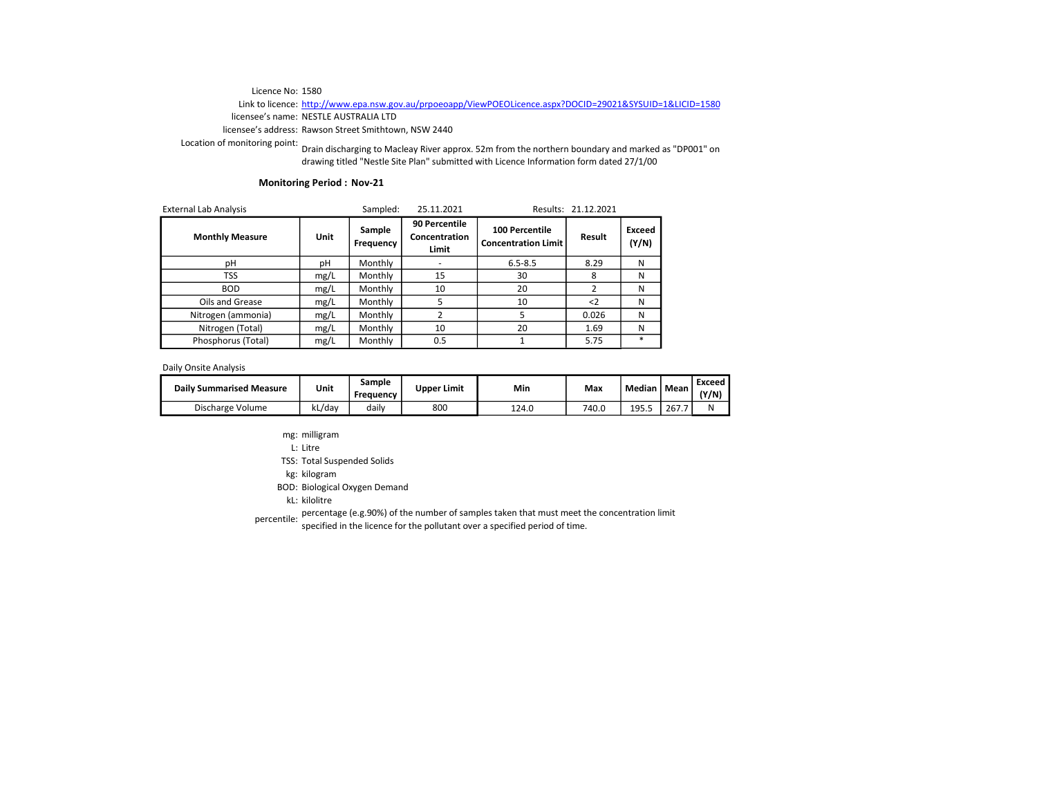#### Link to licence: http://www.epa.nsw.gov.au/prpoeoapp/ViewPOEOLicence.aspx?DOCID=29021&SYSUID=1&LICID=1580 licensee's name: NESTLE AUSTRALIA LTD

licensee's address: Rawson Street Smithtown, NSW 2440

Location of monitoring point: Drain discharging to Macleay River approx. 52m from the northern boundary and marked as "DP001" on drawing titled "Nestle Site Plan" submitted with Licence Information form dated 27/1/00

## Monitoring Period : Nov-21

| <b>External Lab Analysis</b> |      | Sampled:            | 25.11.2021                              |                                                     | Results: 21.12.2021 |                 |
|------------------------------|------|---------------------|-----------------------------------------|-----------------------------------------------------|---------------------|-----------------|
| <b>Monthly Measure</b>       | Unit | Sample<br>Frequency | 90 Percentile<br>Concentration<br>Limit | <b>100 Percentile</b><br><b>Concentration Limit</b> | Result              | Exceed<br>(Y/N) |
| рH                           | рH   | Monthly             |                                         | $6.5 - 8.5$                                         | 8.29                | N               |
| TSS                          | mg/L | Monthly             | 15                                      | 30                                                  | 8                   | N               |
| <b>BOD</b>                   | mg/L | Monthly             | 10                                      | 20                                                  |                     | N               |
| Oils and Grease              | mg/L | Monthly             | 5                                       | 10                                                  | $\langle$ 2         | N               |
| Nitrogen (ammonia)           | mg/L | Monthly             | 2                                       |                                                     | 0.026               | N               |
| Nitrogen (Total)             | mg/L | Monthly             | 10                                      | 20                                                  | 1.69                | N               |
| Phosphorus (Total)           | mg/L | Monthly             | 0.5                                     |                                                     | 5.75                | $\ast$          |

Daily Onsite Analysis

| <b>Daily Summarised Measure</b> | Unit        | Sample<br>Frequency | Upper Limit | Min   | Max   | Median   Mean |       | Exceed<br>(Y/N) |
|---------------------------------|-------------|---------------------|-------------|-------|-------|---------------|-------|-----------------|
| Discharge Volume                | ы<br>кL/dav | dailv               | 800         | 124.0 | 740.C | 195.5         | 267.7 | N               |

- mg: milligram
- L: Litre

TSS: Total Suspended Solids

kg: kilogram

BOD: Biological Oxygen Demand

kL: kilolitre

percentile: percentage (e.g.90%) of the number of samples taken that must meet the concentration limit